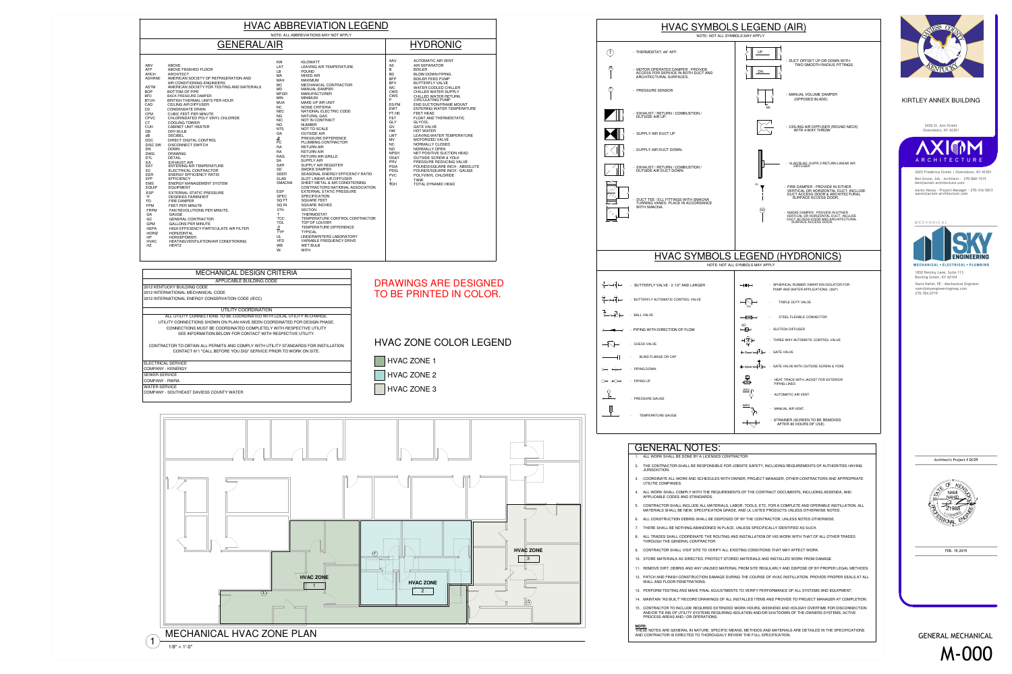|                                                                                               | <b>HVAC SYMBOLS LI</b><br>NOTE: NOT ALL SYMBOLS MA                                                                                      |                  |
|-----------------------------------------------------------------------------------------------|-----------------------------------------------------------------------------------------------------------------------------------------|------------------|
| Τ                                                                                             | - THERMOSTAT; 48" AFF.                                                                                                                  |                  |
|                                                                                               |                                                                                                                                         |                  |
| M                                                                                             | - MOTOR OPERATED DAMPER - PROVIDE<br>ACCESS FOR SERVICE IN BOTH DUCT AND<br>ARCHITECTURAL SURFACES.                                     |                  |
| Ρ                                                                                             | - PRESSURE SENSOR                                                                                                                       |                  |
|                                                                                               | - EXHAUST / RETURN / COMBUSTION /<br><b>OUTSIDE AIR UP.</b>                                                                             |                  |
|                                                                                               | - SUPPLY AIR DUCT UP                                                                                                                    |                  |
|                                                                                               | - SUPPLY AIR DUCT DOWN.                                                                                                                 |                  |
|                                                                                               | - EXHAUST / RETURN / COMBUSTION /<br><b>OUTSIDE AIR DUCT DOWN.</b>                                                                      |                  |
|                                                                                               | - DUCT TEE / ELL FITTINGS WITH SMACNA<br>TURNING VANES. PLACE IN ACCORDANCE<br>WITH SMACNA.                                             |                  |
|                                                                                               | <b>HVAC SYMBOLS LEG</b>                                                                                                                 |                  |
|                                                                                               | NOTE: NOT ALL SYMBO                                                                                                                     |                  |
|                                                                                               | $\overleftarrow{\leftarrow}$ $\overleftarrow{\leftarrow}$ $\overrightarrow{P}$ $\overrightarrow{P}$ BUTTERFLY VALVE - 2 1/2" AND LARGER |                  |
|                                                                                               | $\overleftrightarrow{\xi} \mapsto \overleftrightarrow{\phi} \mapsto$ BUTTERFLY AUTOMATIC CONTROL VALVE                                  |                  |
| $\overrightarrow{\Sigma}\rightarrow\overrightarrow{\Theta}\rightarrow\overrightarrow{\Theta}$ | - BALL VALVE                                                                                                                            | ₩                |
| $\rightarrow$                                                                                 | - PIPING WITH DIRECTION OF FLOW                                                                                                         | SD<br>-17        |
|                                                                                               | $\rightarrow$ - CHECK VALVE                                                                                                             |                  |
|                                                                                               | $\frac{1}{2}$ $\begin{bmatrix} 1 & 1 \\ 1 & 1 \end{bmatrix}$ BLIND FLANGE OR CAP                                                        |                  |
|                                                                                               |                                                                                                                                         | $+\triangleleft$ |
| ∩⊣ ⊬∩⊣                                                                                        | - PIPING UP                                                                                                                             | 륖국               |
|                                                                                               | - PRESSURE GAUGE                                                                                                                        | <u>AA\</u>       |
|                                                                                               | <b>TEMPERATURE GAUGE</b>                                                                                                                | <u>MA</u>        |
|                                                                                               |                                                                                                                                         | $\leftarrow$     |
|                                                                                               | <b>GENERAL NOTES:</b><br>ALL WORK SHALL BE DONE BY A LICENSED CONTRACTOR.<br>1.                                                         |                  |
|                                                                                               | THE CONTRACTOR SHALL BE RESPONSIBLE FOR JOBSITE<br>2.<br>JURISDICTION.                                                                  |                  |
|                                                                                               | COORDINATE ALL WORK AND SCHEDULES WITH OWNER, I<br>3.<br>UTILITIE COMPANIES.                                                            |                  |
|                                                                                               | ALL WORK SHALL COMPLY WITH THE REQUIREMENTS OF<br>4.<br>APPLICABLE CODES AND STANDARDS.                                                 |                  |
|                                                                                               | CONTRACTOR SHALL INCLUDE ALL MATERIALS, LABOR, TO<br>5.<br>MATERIALS SHALL BE NEW, SPECIFICATION GRADE, AND L                           |                  |
|                                                                                               | ALL CONSTRUCTION DEBRIS SHALL BE DISPOSED OF BY T<br>6.                                                                                 |                  |
|                                                                                               | THERE SHALL BE NOTHING ABANDONED IN PLACE, UNLES<br>7.                                                                                  |                  |
|                                                                                               | ALL TRADES SHALL COORDINATE THE ROUTING AND INST.<br>8.                                                                                 |                  |

8. ALL TRADES SHALL COORDINATE THE ROUTING AND INSTALLATION OF HIS WORK WITH THAT OF ALL OTHER TRADES THROUGH THE GENERAL CONTRACTOR.

9. CONTRACTOR SHALL VISIT SITE TO VERIFY ALL EXISTING CONDITIONS THAT MAY AFFECT WORK.

10. STORE MATERIALS AS DIRECTED. PROTECT STORED MATERIALS AND INSTALLED WORK FROM DAMAGE.

11. REMOVE DIRT, DEBRIS AND ANY UNUSED MATERIAL FROM SITE REGULARLY AND DISPOSE OF BY PROPER LEGAL METHODS. 12. PATCH AND FINISH CONSTRUCTION DAMAGE DURING THE COURSE OF HVAC INSTILLATION. PROVIDE PROPER SEALS AT ALL

- 
- 
- 
- WALL AND FLOOR PENETRATIONS.
- 
- 

13. PERFORM TESTING AND MAKE FINAL ADJUSTMENTS TO VERIFY PERFORMANCE OF ALL SYSTEMS AND EQUIPMENT.

14. MAINTAIN "AS BUILT" RECORD DRAWINGS OF ALL INSTALLED ITEMS AND PROVIDE TO PROJECT MANAGER AT COMPLETION. 15. CONTRACTOR TO INCLUDE REQUIRED EXTENDED WORK HOURS, WEEKEND AND HOLIDAY OVERTIME FOR DISCONNECTIONAND/OR TIE INS OF UTILITY SYSTEMS REQUIRING ISOLATION AND/OR SHUTDOWN OF THE OWNERS SYSTEMS, ACTIVE

PROCESS AREAS AND / OR OPERATIONS.

**NOTE:** THESE NOTES ARE GENERAL IN NATURE. SPECIFIC MEANS, METHODS AND MATERIALS ARE DETAILED IN THE SPECIFICATIONSAND CONTRACTOR IS DIRECTED TO THOROUGHLY REVIEW THE FULL SPECIFICATION.

| <b>HVAC ABBREVIATION LEGEND</b>                                                                                                                                                                                                                                                                                                                                                                                                                                       |                                                                                                                                                                                                                                                                                                                                                                                                                                                                                                                                                                                                                                                                                                                                                                                                                                                                                                                                                                                                                                                                                                                                                         |                                                                                                                                                                                                                                                                                                                                                                                                                                                                            |                                                                                                                                                                                                                                                                                                                                                                                                                                                                                                                                                                                                                                                                                                                                                                                                                                                                                                                                                                                                                                                                          |                                                                                                                                                                                                                                                                                                                             |                                                                                                                                                                                                                                                                                                                                                                                                                                                                                                                                                                                                                                                                                                                                               |
|-----------------------------------------------------------------------------------------------------------------------------------------------------------------------------------------------------------------------------------------------------------------------------------------------------------------------------------------------------------------------------------------------------------------------------------------------------------------------|---------------------------------------------------------------------------------------------------------------------------------------------------------------------------------------------------------------------------------------------------------------------------------------------------------------------------------------------------------------------------------------------------------------------------------------------------------------------------------------------------------------------------------------------------------------------------------------------------------------------------------------------------------------------------------------------------------------------------------------------------------------------------------------------------------------------------------------------------------------------------------------------------------------------------------------------------------------------------------------------------------------------------------------------------------------------------------------------------------------------------------------------------------|----------------------------------------------------------------------------------------------------------------------------------------------------------------------------------------------------------------------------------------------------------------------------------------------------------------------------------------------------------------------------------------------------------------------------------------------------------------------------|--------------------------------------------------------------------------------------------------------------------------------------------------------------------------------------------------------------------------------------------------------------------------------------------------------------------------------------------------------------------------------------------------------------------------------------------------------------------------------------------------------------------------------------------------------------------------------------------------------------------------------------------------------------------------------------------------------------------------------------------------------------------------------------------------------------------------------------------------------------------------------------------------------------------------------------------------------------------------------------------------------------------------------------------------------------------------|-----------------------------------------------------------------------------------------------------------------------------------------------------------------------------------------------------------------------------------------------------------------------------------------------------------------------------|-----------------------------------------------------------------------------------------------------------------------------------------------------------------------------------------------------------------------------------------------------------------------------------------------------------------------------------------------------------------------------------------------------------------------------------------------------------------------------------------------------------------------------------------------------------------------------------------------------------------------------------------------------------------------------------------------------------------------------------------------|
|                                                                                                                                                                                                                                                                                                                                                                                                                                                                       |                                                                                                                                                                                                                                                                                                                                                                                                                                                                                                                                                                                                                                                                                                                                                                                                                                                                                                                                                                                                                                                                                                                                                         |                                                                                                                                                                                                                                                                                                                                                                                                                                                                            | NOTE: ALL ABBREVIATIONS MAY NOT APPLY                                                                                                                                                                                                                                                                                                                                                                                                                                                                                                                                                                                                                                                                                                                                                                                                                                                                                                                                                                                                                                    |                                                                                                                                                                                                                                                                                                                             |                                                                                                                                                                                                                                                                                                                                                                                                                                                                                                                                                                                                                                                                                                                                               |
| <b>GENERAL/AIR</b><br><b>HYDRONIC</b>                                                                                                                                                                                                                                                                                                                                                                                                                                 |                                                                                                                                                                                                                                                                                                                                                                                                                                                                                                                                                                                                                                                                                                                                                                                                                                                                                                                                                                                                                                                                                                                                                         |                                                                                                                                                                                                                                                                                                                                                                                                                                                                            |                                                                                                                                                                                                                                                                                                                                                                                                                                                                                                                                                                                                                                                                                                                                                                                                                                                                                                                                                                                                                                                                          |                                                                                                                                                                                                                                                                                                                             |                                                                                                                                                                                                                                                                                                                                                                                                                                                                                                                                                                                                                                                                                                                                               |
| ABV<br><b>AFF</b><br><b>ARCH</b><br><b>ASHRAE</b><br><b>ASTM</b><br><b>BOP</b><br><b>BPD</b><br><b>BTUH</b><br>CAD<br>CD<br><b>CFM</b><br><b>CPVC</b><br><b>CT</b><br><b>CUH</b><br>DB<br>dB<br>DDC<br><b>DISC SW</b><br>DN<br><b>DWG</b><br><b>DTL</b><br>EA<br>EAT<br>EC<br>EER<br><b>EFF</b><br><b>EMS</b><br><b>EQUIP</b><br><b>ESP</b><br>$\mathsf{P}$<br>FD.<br>FPM<br><b>FRPM</b><br>GA<br>GC<br>GPM<br><b>HEPA</b><br><b>HORIZ</b><br>HP<br><b>HVAC</b><br>HZ | <b>ABOVE</b><br>ABOVE FINISHED FLOOR<br><b>ARCHITECT</b><br>AMERICAN SOCIETY OF REFRIGERATION AND<br>AIR CONDITIONING ENGINEERS<br>AMERICAN SOCIETY FOR TESTING AND MATERIALS<br>BOTTOM OF PIPE<br><b>BACK PRESSURE DAMPER</b><br>BRITISH THERMAL UNITS PER HOUR<br><b>CEILING AIR DIFFUSER</b><br><b>CONDENSATE DRAIN</b><br><b>CUBIC FEET PER MINUTE</b><br>CHLORINDATED POLY VINYL CHLORIDE<br><b>COOLING TOWER</b><br><b>CABINET UNIT HEATER</b><br><b>DRY BULB</b><br><b>DECIBEL</b><br><b>DIRECT DIGITAL CONTROL</b><br><b>DISCONNECT SWITCH</b><br><b>DOWN</b><br><b>DRAWING</b><br><b>DETAIL</b><br><b>EXHAUST AIR</b><br>ENTERING AIR TEMPERATURE<br>ELECTRICAL CONTRACTOR<br><b>ENERGY EFFICIENCY RATIO</b><br><b>EFFICIENCY</b><br><b>ENERGY MANAGEMENT SYSTEM</b><br>EQUIPMENT<br><b>EXTERNAL STATIC PRESSURE</b><br><b>DEGREES FARENHEIT</b><br><b>FIRE DAMPER</b><br>FEET PER MINUTE<br>FAN REVOLUTIONS PER MINUTE.<br><b>GAUGE</b><br><b>GENERAL CONTRACTOR</b><br><b>GALLONS PER MINUTE</b><br><b>HIGH EFFICIENCY PARTICULATE AIR FILTER</b><br>HORIZONTAL<br><b>HORSEPOWER</b><br>HEATING/VENTILATION/AIR CONDITIONING<br><b>HERTZ</b> | KW<br>LAT<br><b>LB</b><br>МA<br><b>MAX</b><br>MC<br>MD<br><b>MFGR</b><br><b>MIN</b><br><b>MUA</b><br>NC<br><b>NEC</b><br><b>NG</b><br><b>NIC</b><br><b>NO</b><br><b>NTS</b><br>OA<br>PC<br>RA<br><b>RA</b><br><b>RAG</b><br><b>SA</b><br><b>SAR</b><br><b>SD</b><br><b>SEER</b><br><b>SLAD</b><br><b>SMACNA</b><br><b>ESP</b><br><b>SPEC</b><br>SQ FT<br>SQ IN<br><b>STN</b><br><b>TCC</b><br><b>TOL</b><br>$\Lambda$<br><b>TYP</b><br>UL<br><b>VFD</b><br><b>WB</b><br>W/ | <b>KILOWATT</b><br><b>LEAVING AIR TEMPERATURE</b><br><b>POUND</b><br><b>MIXED AIR</b><br><b>MAXIMUM</b><br>MECHANICAL CONTRACTOR<br><b>MANUAL DAMPER</b><br><b>MANUFACTURER</b><br><b>MINIMUM</b><br>MAKE-UP AIR UNIT<br><b>NOISE CRITERIA</b><br>NATIONAL ELECTRIC CODE<br><b>NATURAL GAS</b><br>NOT IN CONTRACT<br><b>NUMBER</b><br><b>NOT TO SCALE</b><br><b>OUTSIDE AIR</b><br>PRESSURE DIFFERENCE<br>PLUMBING CONTRACTOR<br><b>RETURN AIR</b><br><b>RETURN AIR</b><br><b>RETURN AIR GRILLE</b><br><b>SUPPLY AIR</b><br><b>SUPPLY AIR REGISTER</b><br><b>SMOKE DAMPER</b><br>SEASONAL ENERGY EFFICENCY RATIO<br><b>SLOT LINEAR AIR DIFFUSER</b><br>SHEET METAL & AIR CONDITIONING<br>CONTRACTORS NATIONAL ASSOCIATION<br><b>EXTERNAL STATIC PRESSURE</b><br><b>SPECIFICATION</b><br><b>SQUARE FEET</b><br><b>SQUARE INCHES</b><br><b>SECTION</b><br><b>THERMOSTAT</b><br>TEMPERATURE CONTROL CONTRACTOR<br>TOP OF LOUVER<br>TEMPERATURE DIFFERENCE<br><b>TYPICAL</b><br>UNDERWRITERS LABORATORY<br><b>VARIABLE FREQUENCY DRIVE</b><br><b>WET BULB</b><br><b>WITH</b> | AAV<br>AS<br>B<br><b>BD</b><br><b>BFP</b><br><b>BFV</b><br><b>WC</b><br><b>CWS</b><br><b>CWS</b><br>P.<br>ES/FM<br><b>EWT</b><br>FT HD<br>F&T<br><b>GLY</b><br>GV<br>HW<br><b>LWT</b><br><b>MV</b><br><b>NC</b><br><b>NO</b><br><b>NPSH</b><br>OS&Y<br><b>PRV</b><br><b>PSIA</b><br><b>PSIG</b><br><b>PVC</b><br><b>TDH</b> | <b>AUTOMATIC AIR VENT</b><br><b>AIR SEPARATOR</b><br><b>BOILER</b><br><b>BLOW-DOWN PIPING</b><br><b>BOILER FEED PUMP</b><br><b>BUTTERFLY VALVE</b><br><b>WATER COOLED CHILLER</b><br>CHILLED WATER SUPPLY<br>CHILLED WATER RETURN<br><b>CIRCULATING PUMP</b><br>END SUCTION/FRAME MOUNT<br>ENTERING WATER TEMPERATURE<br>FEET HEAD<br><b>FLOAT AND THERMOSTATIC</b><br><b>GLYCOL</b><br><b>GATE VALVE</b><br><b>HOT WATER</b><br><b>LEAVING WATER TEMPERATURE</b><br>MOTORIZED VALVE<br>NORMALLY CLOSED<br>NORMALLY OPEN<br>NET POSITIVE SUCTION HEAD<br><b>OUTSIDE SCREW &amp; YOLK</b><br>PRESSURE REDUCING VALVE<br>POUNDS/SQUARE INCH - ABSOLUTE<br>POUNDS/SQUARE INCH - GAUGE<br>POLYVINYL CHLORIDE<br><b>TANK</b><br>TOTAL DYNAMIC HEAD |



| R |                                           | - SPHERICAL RUBBER VIBRATION ISOLATOR FOR<br>PUMP AND WATER APPLICATIONS. (360°) |
|---|-------------------------------------------|----------------------------------------------------------------------------------|
|   | <b>TDV</b>                                | TRIPLE DUTY VALVE                                                                |
|   | ₩⋙<br>$\rightarrow$                       | STEEL FLEXIBLE CONNECTOR                                                         |
|   | <b>SD</b><br>$\leftarrow$ G $\rightarrow$ | - SUCTION DIFFUSER                                                               |
|   |                                           | - THREE WAY AUTOMATIC CONTROL VALVE                                              |
|   |                                           | $\overline{\leftarrow}$ - GATE VALVE                                             |
|   |                                           | - GATE VALVE WITH OUTSIDE SCREW & YOKE                                           |
|   |                                           | - HEAT TRACE WITH JACKET FOR EXTERIOR<br>PIPING LINES                            |
|   |                                           | - AUTOMATIC AIR VENT.                                                            |
|   | <u>MAV</u>                                | - MANUAL AIR VENT.                                                               |
|   |                                           | - STRAINER (SCREEN TO BE REMOVED<br>AFTER 80 HOURS OF USE)                       |

# $\overline{\mathsf{ES}}$ :

PONSIBLE FOR JOBSITE SAFETY, INCLUDING REQUIREMENTS OF AUTHORITIES HAVING

IEDULES WITH OWNER, PROJECT MANAGER, OTHER CONTRACTORS AND APPROPRIATE

THE REQUIREMENTS OF THE CONTRACT DOCUMENTS, INCLUDING ADDENDA, AND

L MATERIALS, LABOR, TOOLS, ETC. FOR A COMPLETE AND OPERABLE INSTILLATION. ALL FICATION GRADE, AND UL LISTED PRODUCTS UNLESS OTHERWISE NOTED.

. BE DISPOSED OF BY THE CONTRACTOR, UNLESS NOTES OTHERWISE.

ONED IN PLACE, UNLESS SPECIFICALLY IDENTIFIED AS SUCH.

| NOTE: NOT ALL SYMBOLS MAY APPLY |
|---------------------------------|
|---------------------------------|



# **IBOLS LEGEND (HYDRONICS)**

# MECHANICAL DESIGN CRITERIA

APPLICABLE BUILDING CODE2012 KENTUCKY BUILDING CODE2012 INTERNATIONAL MECHANICAL CODE

2012 INTERNATIONAL ENERGY CONSERVATION CODE (IECC)

UTILITY COORDINATION

 ALL UTILITY CONNECTIONS TO BE COORDINATED WITH LOCAL UTILITY IN CHARGE.UTILITY CONNECTIONS SHOWN ON PLAN HAVE BEEN COORDINATED FOR DESIGN PHASE.CONNECTIONS MUST BE COORDINATED COMPLETELY WITH RESPECTIVE UTILITYSEE INFORMATION BELOW FOR CONTACT WITH RESPECTIVE UTILITY.

CONTRACTOR TO OBTAIN ALL PERMITS AND COMPLY WITH UTILITY STANDARDS FOR INSTILLATIONCONTACT 811 "CALL BEFORE YOU DIG" SERVICE PRIOR TO WORK ON SITE.

ELECTRICAL SERVICE

COMPANY - KENERGY

SEWER SERVICE

 COMPANY - RWRAWATER SERVICE

COMPANY - SOUTHEAST DAVIESS COUNTY WATER

HVAC ZONE COLOR LEGEND



HVAC ZONE 1HVAC ZONE 2

HVAC ZONE 3



Nami Nahid, PE - Mechanical Engineer nami@skyengineeringmep.com 270.784.07191830 Destiny Lane, Suite 113Bowling Green, KY 42104





FEB. 19,2019

GENERAL MECHANICAL



Architect's Project # DC09

DRAWINGS ARE DESIGNED TO BE PRINTED IN COLOR.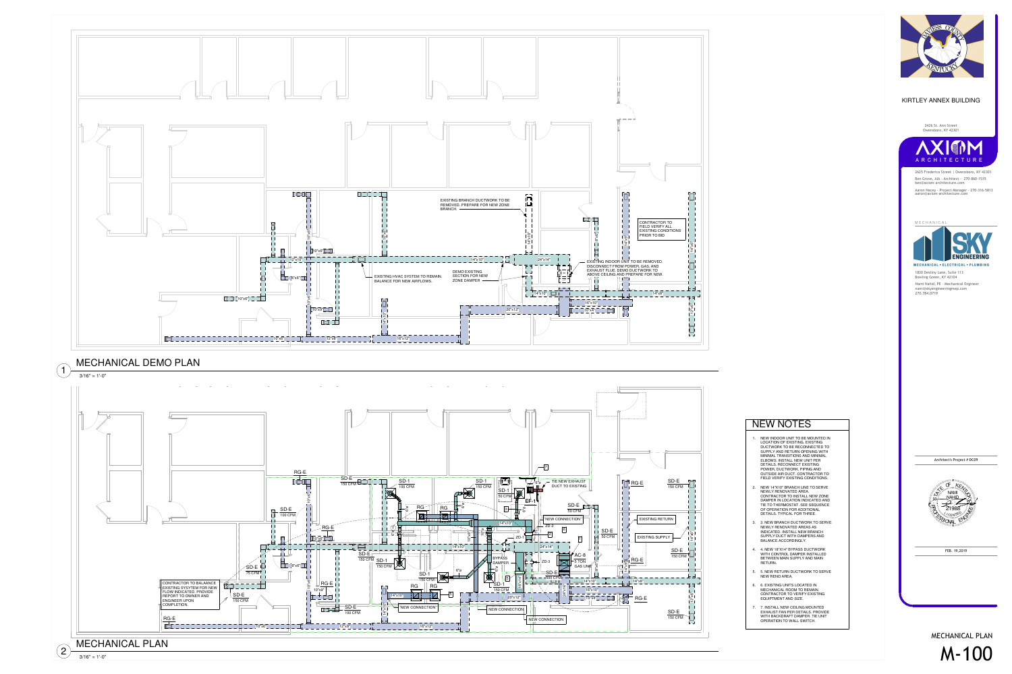- 1. NEW INDOOR UNIT TO BE MOUNTED INLOCATION OF EXISTING. EXISTING DUCTWORK TO BE RECONNECTED TO SUPPLY AND RETURN OPENING WITH MINIMAL TRANSITIONS AND MINIMALELBOWS. INSTALL NEW UNIT PER DETAILS. RECONNECT EXISTING POWER, DUCTWORK, PIPING AND OUTSIDE AIR DUCT. CONTRACTOR TOFIELD VERIFY EXISTING CONDITIONS.
- 2. NEW 14"X10" BRANCH LINE TO SERVE NEWLY RENOVATED AREA. CONTRACTOR TO INSTALL NEW ZONE DAMPER IN LOCATION INDICATED AND TIE TO THERMOSTAT. SEE SEQUENCEOF OPERATION FOR ADDITIONALDETAILS. TYPICAL FOR THREE.
- 3. 3. NEW BRANCH DUCTWORK TO SERVENEWLY RENOVATED AREAS AS INDICATED. INSTALL NEW BRANCHSUPPLY DUCT WITH DAMPERS AND BALANCE ACCORDINGLY.
- 4. 4. NEW 18"X14" BYPASS DUCTWORK WITH CONTROL DAMPER INSTALLED BETWEEN MAIN SUPPLY AND MAINRETURN.
- 5. 5. NEW RETURN DUCTWORK TO SERVENEW RENO AREA.
- 6. 6. EXISTING UNITS LOCATED IN MECHANICAL ROOM TO REMAIN. CONTRACTOR TO VERIFY EXISTINGEQUIPTMENT AND SIZE.
- 7. 7. INSTALL NEW CEILING MOUNTED EXHAUST FAN PER DETAILS. PROVIDE WITH BACKDRAFT DAMPER. TIE UNITOPERATION TO WALL SWITCH.

# NEW NOTES







Ben Grove, AIA - Architect - 270-860-1515ben@axiom-architecture.com Aaron Nacey - Project Manager - 270-316-5813aaron@axiom-architecture.com2625 Frederica Street | Owensboro, KY 42301

**MECHANICAL** 



Nami Nahid, PE - Mechanical Engineer nami@skyengineeringmep.com270.784.07191830 Destiny Lane, Suite 113Bowling Green, KY 42104

2426 St. Ann StreetOwensboro, KY 42301



### KIRTLEY ANNEX BUILDING

FEB. 19,2019





Architect's Project # DC09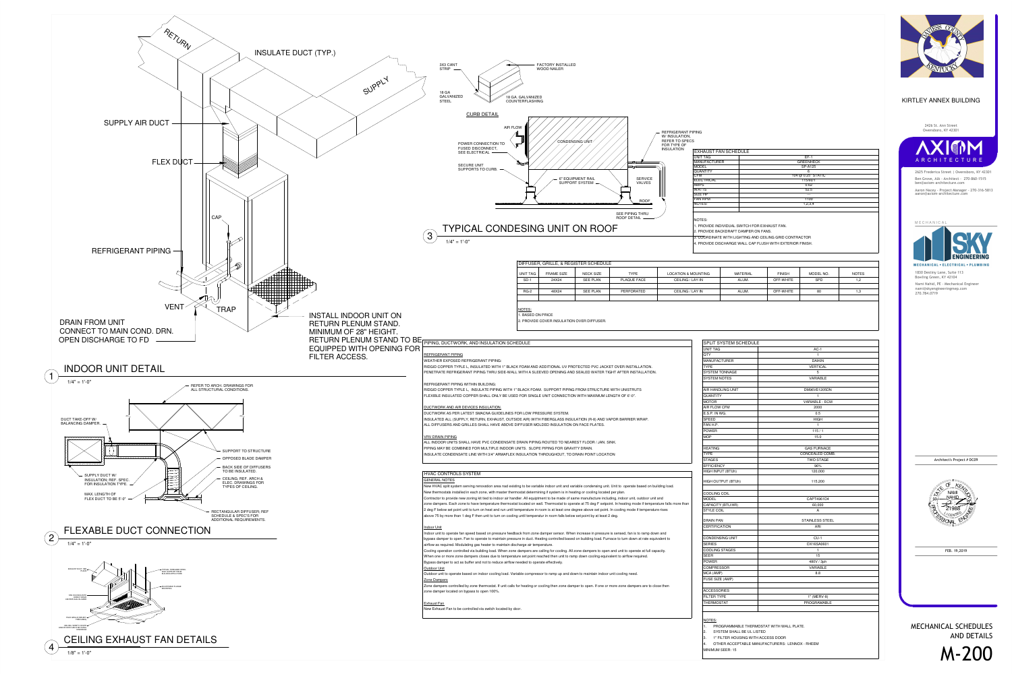| <b>TING</b> | <b>MATERIAL</b> | <b>FINISH</b> | MODEL NO.  | <b>NOTES</b> |
|-------------|-----------------|---------------|------------|--------------|
|             | ALUM.           | OFF-WHITE     | <b>SPD</b> | 1.2          |
|             |                 |               |            |              |
|             | ALUM.           | OFF-WHITE     | 80         | 1.3          |
|             |                 |               |            |              |

1. PROVIDE INDIVIDUAL SWITCH FOR EXHAUST FAN.

2. PROVIDE BACKDRAFT DAMPER ON FANS.

| <b>EXHAUST FAN SCHEDULE</b> |                    |  |
|-----------------------------|--------------------|--|
| UNIT TAG                    | $EF-1$             |  |
| <b>MANUFACTURER</b>         | <b>GREENHECK</b>   |  |
| MODEL                       | SP-A125            |  |
| QUANTITY                    | 6                  |  |
| CFM                         | 104 @ 0.25" STATIC |  |
| <b>ELECTRICAL</b>           | 115/60/1           |  |
| AMPS                        | 0.62               |  |
| <b>WATTS</b>                | 52.5               |  |
| SIZE HP                     |                    |  |
| <b>FAN RPM</b>              | 1100               |  |
| NOTES:                      | 1,2,3,4            |  |

3. COORDINATE WITH LIGHTING AND CEILING GRID CONTRACTOR4. PROVIDE DISCHARGE WALL CAP FLUSH WITH EXTERIOR FINISH.

> **MECHANICAL - ELECTRICAL - PLUMBING** 1830 Destiny Lane, Suite 113Bowling Green, KY 42104Nami Nahid, PE - Mechanical Engineer nami@skyengineeringmep.com 270.784.0719



1. PROGRAMMABLE THERMOSTAT WITH WALL PLATE.

SYSTEM SHALL BE UL LISTED

| <b>SPLIT SYSTEM SCHEDULE</b> |                       |  |
|------------------------------|-----------------------|--|
| <b>UNIT TAG</b>              | $AC-1$                |  |
| QTY                          | 1                     |  |
| <b>MANUFACTURER</b>          | <b>DAIKIN</b>         |  |
| <b>TYPE</b>                  | <b>VERTICAL</b>       |  |
| <b>SYSTEM TONNAGE</b>        | 5                     |  |
| <b>SYSTEM NOTES</b>          | <b>VARIABLE</b>       |  |
|                              |                       |  |
| AIR HANDLING UNIT            | DM96VE1205DN          |  |
| <b>QUANTITY</b>              | 1                     |  |
| <b>MOTOR</b>                 | <b>VARIABLE - ECM</b> |  |
| <b>AIR FLOW CFM</b>          | 2000                  |  |
| E.S.P. IN WG.                | 0.5                   |  |
| <b>SPEED</b>                 | <b>HIGH</b>           |  |
| FAN H.P.                     | 1                     |  |
| <b>POWER</b>                 | 115/1                 |  |
| <b>MOP</b>                   | 15.0                  |  |
|                              |                       |  |
| <b>HEATING</b>               | <b>GAS FURNACE</b>    |  |
| <b>TYPE</b>                  | CONCEALED COMB.       |  |
| <b>STAGES</b>                | <b>TWO STAGE</b>      |  |
| <b>EFFICIENCY</b>            | 96%                   |  |
| HIGH INPUT (BTUh)            | 120,000               |  |
| HIGH OUTPUT (BTUh)           | 115,200               |  |
|                              |                       |  |
| COOLING COIL                 |                       |  |
| <b>MODEL</b>                 | CAPT4961D4            |  |
| CAPACITY (BTU/HR)            | 60,000                |  |
| STYLE COIL                   | A                     |  |
| <b>DRAIN PAN</b>             | STAINLESS STEEL       |  |
| <b>CERTIFICATION</b>         | ARI                   |  |
|                              |                       |  |
| <b>CONDENSING UNIT</b>       | $CU-1$                |  |
| <b>SERIES</b>                | DX16SA0601            |  |
| COOLING STAGES               | 1                     |  |
| <b>SEER</b>                  | 15                    |  |
| <b>POWER</b>                 | 480V / 3ph            |  |
| <b>COMPRESSOR</b>            | VARIABLE              |  |
| MCA (AMP)                    | 8.8                   |  |
| FUSE SIZE (AMP)              |                       |  |
|                              |                       |  |
| <b>ACCESSORIES</b>           |                       |  |
| <b>FILTER TYPE</b>           | 1" (MERV-8)           |  |
| <b>THERMOSTAT</b>            | <b>PROGRAMABLE</b>    |  |
|                              |                       |  |

### <u>NOTES:</u>

3. 1" FILTER HOUSING WITH ACCESS DOOR

4. OTHER ACCEPTABLE MANUFACTURERS: LENNOX - RHEEM

MINIMUM SEER: 15





Ben Grove, AIA - Architect - 270-860-1515ben@axiom-architecture.comAaron Nacey - Project Manager - 270-316-5813aaron@axiom-architecture.com2625 Frederica Street | Owensboro, KY 42301

**MECHANICAL** 



### 2426 St. Ann StreetOwensboro, KY 42301



## KIRTLEY ANNEX BUILDING

FEB. 19,2019

MECHANICAL SCHEDULESAND DETAILS



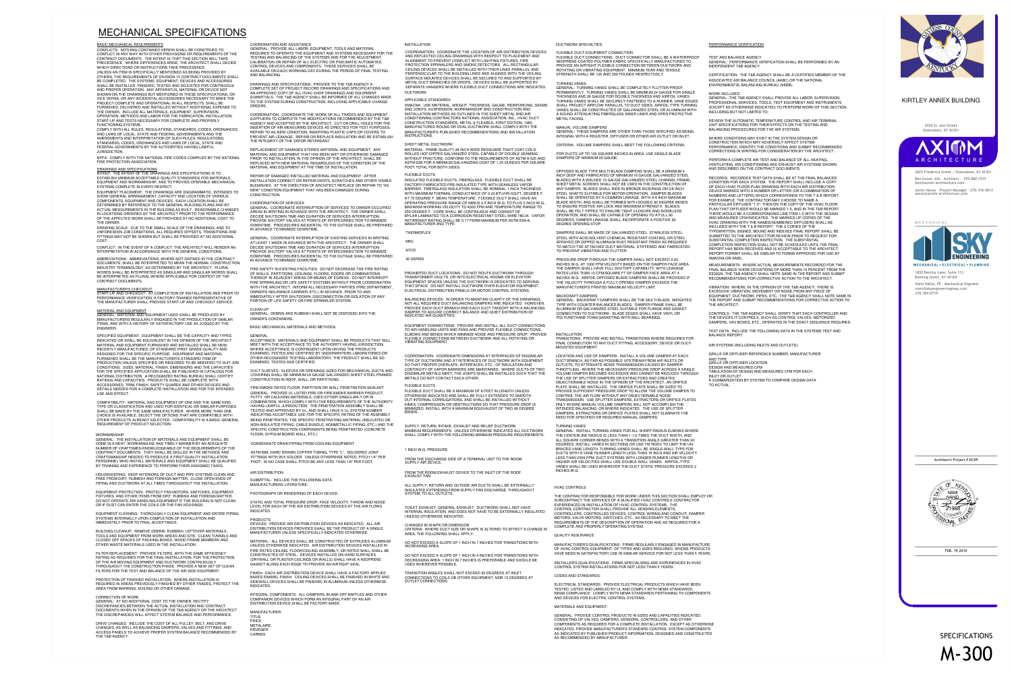### HVAC CONTROLS

THE CONTRACTOR RESPONSIBLE FOR WORK UNDER THIS SECTION SHALL EMPLOY ORSUBCONTRACT THE SERVICES OF A QUALIFIED HVAC CONTROLS CONTRACTOREXPERIENCED IN INSTALLATION OF HVAC CONTROL SYSTEMS. THE CONTROL CONTRACTOR SHALL PROVIDE ALL SENSING ELEMENTS, CONTROLLERS, CONTROLLED DEVICES, CONTROL WIRING AND CONDUIT, DAMPERMOTORS, VALVE MOTORS, SWITCHES, ETC., AS NECESSARY TO MEET THE REQUIREMENTS OF THE DESCRIPTION OF OPERATION AND AS REQUIRED FOR ACOMPLETE AND PROPERLY OPERATING SYSTEM.

QUALITY ASSURANCE:

MANUFACTURER'S QUALIFICATIONS: FIRMS REGULARLY ENGAGED IN MANUFACTURE OF HVAC CONTROL EQUIPMENT, OF TYPES AND SIZES REQUIRED, WHOSE PRODUCTSHAVE BEEN IN SATISFACTORY USE IN SIMILAR SERVICE FOR NOT LESS THAN 5 YEARS.

INSTALLER'S QUALIFICATIONS: FIRMS SPECIALIZING AND EXPERIENCED IN HVACCONTROL SYSTEM INSTALLATIONS FOR NOT LESS THAN 5 YEARS.

CODES AND STANDARDS:

ELECTRICAL STANDARDS: PROVIDE ELECTRICAL PRODUCTS WHICH HAVE BEENTESTED, LISTED AND LABELED BY UL AND COMPLY WITH NEMA STANDARDS. NEMA COMPLIANCE: COMPLY WITH NEMA STANDARDS PERTAINING TO COMPONENTSAND DEVICES FOR ELECTRIC CONTROL SYSTEMS.

MATERIALS AND EQUIPMENT:

GENERAL: PROVIDE CONTROL PRODUCTS IN SIZES AND CAPACITIES INDICATED,CONSISTING OF VALVES, DAMPERS, SENSORS, CONTROLLERS, AND OTHER COMPONENTS AS REQUIRED FOR A COMPLETE INSTALLATION. EXCEPT AS OTHERWISE INDICATED, PROVIDE MANUFACTURER'S STANDARD CONTROL SYSTEM COMPONENTS AS INDICATED BY PUBLISHED PRODUCT INFORMATION, DESIGNED AND CONSTRUCTEDAS RECOMMENDED BY MANUFACTURER.

TO ACTUAL



A SUMMARIZATION BY SYSTEM TO COMPARE DESIGN DATA INLET OR OUTLET

TABULATION OF DESIGN AND MEASURED CFM FOR EACH

DESIGN AND MEASURED CFMGRILLE OR DIFFUSER LOCATION

AND TYPEGRILLE OR DIFFUSER REFERENCE NUMBER, MANUFACTURER

AIR SYSTEMS (INCLUDING INLETS AND OUTLETS):

BALANCE REPORT:TEST DATA: INCLUDE THE FOLLOWING DATA IN THE SYSTEMS TEST AND

DAMPERS, VAV BOXES, ETC., OPERATES IN THE EXACT SEQUENCE REQUIRED. THE DEVICES IT CONTROLS, SUCH AS CONTROL VALVES, MOTORIZEDCONTROLS: THE T&B AGENCY SHALL VERIFY THAT EACH CONTROLLER AND

THE ARCHITECT.THE REPORT AND SUBMIT RECOMMENDATIONS FOR CORRECTIVE ACTION TO EQUIPMENT, DUCTWORK, PIPES, ETC., THE T&B AGENCY SHALL NOTE SAME IN EXCESSIVE VIBRATION, MOVEMENT OR NOISE FROM ANY PIECE OF VIBRATION: WHERE, IN THE OPINION OF THE T&B AGENCY, THERE IS

RECOMMENDATIONS FOR CORRECTIVE ACTION TO THE ARCHITECT.DESIGN, THE T&B AGENCY SHALL NOTE SAME IN THE REPORT AND SUBMIT FINAL BALANCE SHOW DEVIATIONS OF MORE THAN 10 PERCENT FROM THE MEASUREMENTS: WHERE ACTUAL MEASUREMENTS RECORDED FOR THE

AND DESCRIBED ON THE CONTRACT DOCUMENTS.VENTILATING, AIR CONDITIONING AND EXHAUST AIR SYSTEMS SHOWN PERFORM A COMPLETE AIR TEST AND BALANCE OF ALL HEATING,

CORRECTIONS IN WRITING FOR CONSIDERATION BY THE ARCHITECT.PERFORMANCE, IDENTIFY THE CONDITIONS AND SUBMIT RECOMMENDED CONSTRUCTION WHICH MAY ADVERSELY AFFECT SYSTEM WHERE CONDITIONS MAY EXIST IN THE SYSTEM DESIGN OR

BALANCING PROCEDURES FOR THE AIR SYSTEMS.UNIT SPECIFICATIONS FOR THEIR EFFECTS ON THE TESTING ANDREVIEW THE AUTOMATIC TEMPERATURE CONTROL AND AIR TERMINAL

INCLUDING BUT NOT LIMITED TO:(EXCEPT AS OTHERWISE INDICATED) TO PERFORM WORK OF THIS SECTION; PROFESSIONAL SERVICES, TOOLS, TEST EQUIPMENT AND INSTRUMENTS GENERAL: THE T&B AGENCY SHALL PROVIDE ALL LABOR, SUPERVISION,

WORK INCLUDED

ENVIRONMENTAL BALANCING BUREAU (NEBB).ASSOCIATED AIR BALANCE COUNCIL (AABC) OR THE NATIONALCERTIFICATION: THE T&B AGENCY SHALL BE A CERTIFIED MEMBER OF THE

INDEPENDENT T&B AGENCY.GENERAL: PERFORMANCE VERIFICATION SHALL BE PERFORMED BY AN TEST AND BALANCE AGENCY

### PERFORMANCE VERIFICATION

INCHES W.G.VANES SHALL BE USED WHEREVER THE DUCT STATIC PRESSURE EXCEEDS 2 HIGHER AIR VELOCITIES SHALL USE DOUBLE-WALL VANES. AIRFOIL-TYPE LESS THAN 2500 FPM; DUCT SYSTEMS WITH LONGER RUNNER LENGTHS OR DUCTS WITH A VANE RUNNER LENGTH LESS THAN 18 INCH AND AIR VELOCITY BRACED VANE LENGTH. TURNING VANES SHALL BE SINGLE-WALL TYPE FORDEGREES. INSTALL VANES IN SECTIONS OR USE TIE RODS TO LIMIT THE UN- ALL SQUARE CORNER BENDS WITH A TRANSITION ANGLE GREATER THAN 30 THE CENTERLINE RADIUS IS LESS THAN 1-1/2 TIMES THE DUCT WIDTH, ANDGENERAL: INSTALL TURNING VANES FOR ALL SHORT-RADIUS ELBOWS WHERE

TURNING VANES

NEED FOR SPECIFIED OR REQUIRED MANUAL DAMPERS.DAMPERS, EXTRACTORS OR ORIFICE PLATES SHALL NOT ELIMINATE THE INTENDED BALANCING, OR WHERE INDICATED. THE USE OF SPLITTER ONLY WHERE MANUAL VOLUME DAMPERS WILL NOT ACCOMPLISH THETRANSMISSION. USE SPLITTER DAMPERS, EXTRACTORS OR ORIFICE PLATES CONTROL THE AIR FLOW WITHOUT ANY OBJECTIONABLE NOISEPROVIDE SUFFICIENT PRESSURE DROP TO ALLOW THE VOLUME DAMPER TO PLATE SHALL BE INSTALLED. THE ORIFICE PLATE SHALL BE SIZED TOOBJECTIONABLE NOISE IN THE OPINION OF THE ARCHITECT, AN ORIFICE THE USE OF SPLITTER DAMPERS OR EXTRACTORS AND CREATESVOLUME DAMPER BECOMES EXCESSIVE AND CANNOT BE REDUCED THROUGH THROTTLING. WHERE THE NECESSARY PRESSURE DROP ACROSS A SINGLE OUTLETS, TO ATTENUATE NOISE TRANSMISSION CAUSED BY DAMPER DUCT BRANCH, AS FAR AS POSSIBLE UPSTREAM FROM AIR INLETS ORLOCATION AND USE OF DAMPERS: INSTALL A VOLUME DAMPER AT EACH

MOUNTED EQUIPMENT.FINAL CONNECTION TO ANY DUCT FITTING, ACCESSORY, DEVICE OR DUCT- TRANSITIONS: PROVIDE AND INSTALL TRANSITIONS WHERE REQUIRED FOR

### INSTALLATION

POLYURETHANE FOAM GASKETING WITH BALL BEARINGS.CONNECTION TO DUCTWORK. BLADE EDGES SHALL HAVE VINYL ORALUMINUM OR GALVANIZED STEEL SUITABLE FOR FLANGE AND GASKET TYPE WITH COUNTER-BALANCED BLADES. DAMPER FRAME SHALL BEGENERAL: BACKDRAFT DAMPERS SHALL BE THE MULTI-BLADE, WEIGHTED

BACKDRAFT DAMPERS

MANUFACTURER'S PRINTED MAXIMUM VELOCITY LIMIT.THE VELOCITY THROUGH A FULLY OPENED DAMPER EXCEEDS THEINCHES W.G. AIRFOIL OPPOSED BLADE DAMPERS SHALL BE PROVIDED IF RATES LESS THAN 10 CFM/SQUARE FT OF DAMPER FACE AREA AT 4 THE DAMPER SHALL HAVE FULL SHUTOFF CAPABILITY, WITH LEAKAGEINCHES W.G. AT 1000 FPM VELOCITY BASED ON THE DAMPER FACE AREA. PRESSURE DROP THROUGH THE DAMPER SHALL NOT EXCEED 0.03

TO PREVENT VIBRATION AND FLUTTER.TO MATCH THE ATTACHED DUCT MATERIAL; STIFFENED AND FABRICATED SPRAYED OR DIPPED ALUMINUM RUST RESISTANT FINISH AS REQUIRED STEEL WITH ACID/SOLVENT CHEMICAL RESISTANT COATING, OR STEEL DAMPERS SHALL BE MADE OF GALVANIZED STEEL, STAINLESS STEEL,

DEGREE OPENING STOP.DEGREES; DAMPER LINKAGE SHALL INCORPORATE A POSITIVE 90 OPERATION, AND SHALL BE CAPABLE OF OPENING TO A FULL 90SHALL BE FELT-TIPPED TO ENSURE TIGHT CLOSURE AND NOISELESS TO ENSURE POSITIVE AIR LOCK AND MAXIMUM STRENGTH. BLADESBLADE WIDTH, AND SHALL BE FORMED WITH DOUBLE 90 DEGREE BENDS SHALL BE OPERATED BY A COMMON LINKAGE, WITH A 6 INCH MAXIMUM STEEL SHAFTS SUITABLE FOR MOTOR OPERATION. DAMPER BLADES ANY DAMPER. BLADES SHALL RIDE IN BRONZE BUSHINGS ON 3/8 INCH SHEET METAL SCREWS SHALL NOT BE USED IN THE CONSTRUCTION OFBLADES WITH A WELDED 16 GAUGE GALVANIZED STEEL CHANNEL FRAME; INCH DEEP AND FABRICATED OF MINIMUM 16 GAUGE GALVANIZED STEEL OPPOSED BLADE TYPE MULTI-BLADE DAMPERS SHALL BE A MINIMUM 4

DAMPERS OF MINIMUM 20 GAUGE.FOR DUCTS UP TO 100 SQUARE INCHES IN AREA, USE SINGLE BLADE

CRITERIA: VOLUME DAMPERS SHALL MEET THE FOLLOWING CRITERIA:

INTEGRAL WITH A REGISTER, DIFFUSER OR OTHER AIR OUTLET OR INLET. GENERAL: THESE DAMPERS ARE OTHER THAN THOSE SPECIFIED AS BEING

### MANUAL VOLUME DAMPERS

METAL FACING.A SOUND-ATTENUATING FIBERGLASS INNER LINER AND OPEN PROTECTIVE VANES SHALL BE CONSTRUCTED OF GALVANIZED STEEL OR ALUMINUM WITH SHALL PROJECT AIRFLOW PARALLEL TO DUCT SIDES. AIRFOIL-TYPE TURNING TURNING VANES SHALL BE SECURELY FASTENED TO A RUNNER; VANE EDGES THICKNESS AND 26 GAUGE FOR DOUBLE THICKNESS AND AIRFOIL VANES.PERMANENTLY. TURNING VANES SHALL BE MINIMUM 24 GAUGE FOR SINGLE GENERAL: TURNING VANES SHALL BE COMPLETELY FLUTTER-PROOF,

TURNING VANES

 INTENT: THE INTENT OF THE DRAWINGS AND SPECIFICATIONS IS TO ESTABLISH MINIMUM ACCEPTABLE QUALITY STANDARDS FOR MATERIALS, EQUIPMENT AND WORKMANSHIP, AND TO PROVIDE OPERABLE MECHANICALSYSTEMS COMPLETE IN EVERY RESPECT

STRENGTH SHALL BE 125 AND 300 POUNDS RESPECTIVELY.ROTATING OR VIBRATING EQUIPMENT. MINIMUM TEAR AND TENSILEPROVIDE AN AIRTIGHT FLEXIBLE CONNECTION BETWEEN DUCTWORK AND NEOPRENE-COATED POLYMER FABRIC SPECIFICALLY MANUFACTURED TOFLEXIBLE DUCT CONNECTIONS: DUCT CONNECTOR SHALL BE A WATERPROOF

FLEXIBLE DUCT EQUIPMENT CONNECTION

### DUCTWORK SPECIALTIES

OUTLET CONNECTIONS.CONNECTIONS TO COILS OR OTHER EQUIPMENT, NOR 15 DEGREES AT TRANSITION ANGLES SHALL NOT EXCEED 30 DEGREES AT INLET

USED WHEREVER POSSIBLE.DECREASING AREA; 1 INCH IN 7 INCHES IS PREFERABLE AND SHOULD BE DO NOT EXCEED A SLOPE OF 1 INCH IN 4 INCHES FOR TRANSITIONS WITH

INCREASING AREA.DO NOT EXCEED A SLOPE OF 1 INCH IN 7 INCHES FOR TRANSITIONS WITH

AREA, THE FOLLOWING SHALL APPLY:CRITERIA: WHERE DUCT SIZE OR SHAPE IS ALTERED TO EFFECT A CHANGE IN CHANGES IN SHAPE OR DIMENSION

UNLESS OTHERWISE INDICATED.INTERNAL INSULATION, AND DOES NOT HAVE TO BE EXTERNALLY INSULATED TOILET EXHAUST, GENERAL EXHAUST: DUCTWORK SHALL NOT HAVE

SYSTEM, TO ALL OUTLETS.INSULATED EXTENDING FROM SUPPLY FAN DISCHARGE, THROUGHOUT ALL SUPPLY, RETURN AND OUTSIDE AIR DUCTS SHALL BE EXTERNALLY

EXHAUST FAN.FROM THE ROOM EXHAUST DEVICE TO THE INLET OF THE ROOF

SUPPLY AIR DEVICE.FROM THE DISCHARGE SIDE OF A TERMINAL UNIT TO THE ROOM

1 INCH W.G. PRESSURE:

SHALL COMPLY WITH THE FOLLOWING MINIMUM PRESSURE REQUIREMENTS: MINIMUM REQUIREMENTS: UNLESS OTHERWISE INDICATED ALL DUCTWORK SUPPLY, RETURN, INTAKE, EXHAUST AND RELIEF DUCTWORK

BENDS.

MINIMIZED. INSTALL WITH A MAXIMUM EQUIVALENT OF TWO 90 DEGREE KINKS, COMPRESSION OR OBSTRUCTIONS SO THAT PRESSURE DROP IS OUT INTERNAL CORRUGATIONS, AND SHALL BE INSTALLED WITHOUT OTHERWISE INDICATED AND SHALL BE FULLY EXTENDED TO SMOOTH FLEXIBLE DUCT SHALL BE A MAXIMUM OF 8 FEET IN LENGTH UNLESS FLEXIBLE DUCTS

METALS DO NOT CONTACT EACH OTHER.DISSIMILAR METALS MEET, THE JOINTS SHALL BE INSTALLED SUCH THAT THE CONTINUITY OF VAPOR BARRIERS ARE MAINTAINED. WHERE DUCTS OF TWO SO THAT PROPER OVERLAPS, INTERFACES, ETC., OF INSULATION ANDTYPE OF DUCTWORK AND AT INTERFACES OF DUCTWORK WITH EQUIPMENT COORDINATION: COORDINATE DIMENSIONS AT INTERFACES OF DISSIMILAR

VIBRATING EQUIPMENT.FLEXIBLE CONNECTIONS BETWEEN DUCTWORK AND ALL ROTATING ORELBOWS AND BENDS WHICH MINIMIZE NOISE AND PRESSURE DROP. PROVIDE TO AIR HANDLING UNITS AND FANS AND PROVIDE FLEXIBLE CONNECTIONS,EQUIPMENT CONNECTIONS: PROVIDE AND INSTALL ALL DUCT CONNECTIONS

INDICATED AIR QUANTITIES.DAMPER TO ASSURE CORRECT BALANCE AND QUIET DISTRIBUTION OFPROVIDE EACH DUCT BRANCH AND EACH DUCT TAKEOFF WITH A BALANCING NOT ALL REQUIRED DUCT BALANCING DAMPERS ARE INDICATED. HOWEVER, BALANCING DEVICES: IN ORDER TO MAINTAIN CLARITY OF THE DRAWINGS,

ELECTRICAL DISTRIBUTION PANELS OR MOTOR CONTROL STATIONS.THAT SPACE. DO NOT INSTALL DUCTWORK OVER ELEVATOR EQUIPMENT, EQUIPMENT SPACES UNLESS THE DUCTWORK IS DEDICATED TO SERVING TRANSFORMER VAULTS, OR INTO ELECTRICAL ROOMS OR ELEVATOR PROHIBITED DUCT LOCATIONS: DO NOT ROUTE DUCTWORK THROUGH

30 SERIES

 ATCOMKC

THERMOFLEX

MANUFACTURER AND TYPE:RETARDANT RATING SHALL BE 0.17 PERM MAXIMUM PER ASTM E96-A.MYLAR LAMINATED TO A CORROSION RESISTANT STEEL WIRE HELIX. VAPOR 250 DEGREE F. CORE SHALL BE CONTINUOUS AND CONSIST OFMAXIMUM WORKING VELOCITY TO 4000 FPM AND TEMPERATURE RANGE TOOPERATING PRESSURE RANGE OF MINUS 0.5 INCH W.G. TO PLUS 2 INCH W.G., AT 75 DEGREE F. MEAN TEMPERATURE. FLEXIBLE DUCT SHALL HAVE ANWITH MAXIMUM THERMAL CONDUCTANCE OF 0.23 BTU/HR-SQ.FT.-DEGREE F. BARRIER. FIBERGLASS INSULATION SHALL BE NOMINAL 1 INCH THICKNESS FACTORY-FABRICATED PRE-INSULATED TYPE WITH SEAMLESS VAPOR INSULATED FLEXIBLE DUCTS, FIBERGLASS: FLEXIBLE DUCT SHALL BE

FLEXIBLE DUCTS

FOOT TOTAL FOR BOTH SIDES.ASTM-G90 FOR A MINIMUM GALVANIZING COAT OF 1.25 OUNCES PER SQUARE WITHOUT FRACTURE. CONFORM TO THE REQUIREMENTS OF ASTM A-525 AND ROLLED HOT-DIPPED GALVANIZED STEEL CAPABLE OF DOUBLE SEAMINGMATERIAL: PRIME QUALITY 48 INCH WIDE RESQUARE TIGHT COAT COLD-

### SHEET METAL DUCTWORK

INSTRUCTIONS.MANUFACTURER'S PUBLISHED RECOMMENDATIONS AND INSTALLATION MANUFACTURED ROUND OR OVAL DUCTWORK SHALL COMPLY WITH THE CONSTRUCTION STANDARDS, METAL & FLEXIBLE, FIRST EDITION, 1985.CONDITIONING CONTRACTORS NATIONAL ASSOCIATION, INC., HVAC DUCT INSTALLATION METHODS AS OUTLINED IN THE SHEET METAL AND AIR AND JOINTS, SUSPENSION, WORKMANSHIP AND CONSTRUCTION ANDSMACNA: USE MATERIAL, WEIGHT, THICKNESS, GAUGE, REINFORCING, SEAMS

### APPLICABLE STANDARDS

 DUCTWORKSEPARATE HANGERS WHERE FLEXIBLE DUCT CONNECTIONS ARE INDICATED. METAL DUCT BRANCHES OR DROPS. DEVICES SHALL BE SUPPORTED BY SURFACE MOUNTED DEVICES SHALL BE SECURED TO AND SUPPORTED BY PERPENDICULAR TO THE BUILDING LINES AND ALIGNED WITH THE CEILING. CEILING DEVICES SHALL BE INSTALLED WITH THEIR LINES PARALLEL AND PROTECTION SPRINKLERS AND SMOKE DETECTORS. ALL RECTANGULAR ALIGNMENT TO PREVENT CONFLICT WITH LIGHTING FIXTURES, FIREAND REFLECTED CEILING DRAWINGS WITH RESPECT TO PLACEMENT ANDCOORDINATION: COORDINATE THE LOCATION OF AIR DISTRIBUTION DEVICES

### INSTALLATION

CARNES KRUEGER METALAIRE PRICE

TITUSMANUFACTURER:

DISTRIBUTION DEVICE SHALL BE FACTORY-MADE.COMPANION DEVICES WHICH FORM AN INTEGRAL PART OF AN AIRINTEGRAL COMPONENTS: ALL DAMPERS, BLANK-OFF BAFFLES AND OTHER

INDICATED.SIDEWALL DEVICES SHALL BE FINISHED IN ALUMINUM UNLESS OTHERWISE BAKED ENAMEL FINISH. CEILING DEVICES SHALL BE FINISHED IN WHITE AND FINISH: EACH AIR DISTRIBUTION DEVICE SHALL HAVE A FACTORY APPLIED

GASKET ALONG EACH EDGE TO PROVIDE AN AIRTIGHT SEAL.(DRYWALL OR PLASTER CEILINGS OR WALLS) SHALL HAVE A NEOPRENE CONSTRUCTED OF STEEL. DEVICES INSTALLED ON HARD SURFACESFIRE RATED CEILING, FLOOR/CEILING ASSEMBLY, OR RATED WALL SHALL BE UNLESS OTHERWISE INDICATED. AIR DISTRIBUTION DEVICES INSTALLED IN MATERIAL: ALL DEVICES SHALL BE CONSTRUCTED OF EXTRUDED ALUMINUM

MANUFACTURER UNLESS SPECIFICALLY INDICATED OTHERWISE.DISTRIBUTION DEVICES PROVIDED SHALL BE THE PRODUCT OF A SINGLE DEVICES: PROVIDE AIR DISTRIBUTION DEVICES AS INDICATED. ALL AIR

INDICATED.LEVEL FOR EACH OF THE AIR DISTRIBUTION DEVICES AT THE AIR FLOWS STATIC AND TOTAL PRESSURE DROP, FACE VELOCITY, THROW AND NOISE

### **PRODUCTS**

PHOTOGRAPH OR RENDERING OF EACH DEVICE.

MANUFACTURERS LITERATURE:SUBMITTAL: INCLUDE THE FOLLOWING DATA:

### AIR DISTRIBUTION

### BASIC MECHANICAL REQUIREMENTS

 CONFLICTS: NOTHING CONTAINED HEREIN SHALL BE CONSTRUED TO CONFLICT IN ANY WAY WITH OTHER PROVISIONS OR REQUIREMENTS OF THECONTRACT DOCUMENTS. THE INTENT IS THAT THIS SECTION WILL TAKE PRECEDENCE. WHERE DIFFERENCES ARISE, THE ARCHITECT SHALL DECIDEWHICH DIRECTIONS OR INSTRUCTIONS TAKE PRECEDENCE.UNLESS AN ITEM IS SPECIFICALLY MENTIONED AS BEING PROVIDED BY

 OTHERS, THE REQUIREMENTS OF DIVISION 15 CONTRACT DOCUMENTS SHALLBE COMPLETED. THE SYSTEMS, EQUIPMENT, DEVICES AND ACCESSORIES SHALL BE INSTALLED, FINISHED, TESTED AND ADJUSTED FOR CONTINUOUSAND PROPER OPERATION. ANY APPARATUS, MATERIAL OR DEVICE NOT SHOWN ON THE DRAWINGS BUT MENTIONED IN THESE SPECIFICATIONS, OR VICE VERSA, OR ANY INCIDENTAL ACCESSORIES NECESSARY TO MAKE THEPROJECT COMPLETE AND OPERATIONAL IN ALL RESPECTS, SHALL BE FURNISHED, DELIVERED AND INSTALLED WITHOUT ADDITIONAL EXPENSE TOTHE OWNER. INCLUDE ALL MATERIALS, EQUIPMENT, SUPERVISION, OPERATION, METHODS AND LABOR FOR THE FABRICATION, INSTALLATION,START-UP AND TESTS NECESSARY FOR COMPLETE AND PROPERLYFUNCTIONING SYSTEMS.

 COMPLY WITH ALL RULES, REGULATIONS, STANDARDS, CODES, ORDINANCESAND LAWS OF LOCAL, STATE AND FEDERAL GOVERNMENTS AND THE AMENDMENTS AND INTERPRETATION OF SUCH RULES, REGULATIONS,STANDARDS, CODES, ORDINANCES AND LAWS OF LOCAL, STATE ANDFEDERAL GOVERNMENTS BY THE AUTHORITIES HAVING LAWFULJURISDICTION.

### NFPA: COMPLY WITH THE NATIONAL FIRE CODES COMPILED BY THE NATIONALFIRE PROTECTION ASSOCIATION.

### DRAWINGS AND SPECIFICATIONS

EQUIPMENT PLACEMENT: THE DRAWINGS ARE DIAGRAMMATIC, INTENDED TOSHOW GENERAL ARRANGEMENT, CAPACITY AND LOCATION OF VARIOUS COMPONENTS, EQUIPMENT AND DEVICES. EACH LOCATION SHALL BE DETERMINED BY REFERENCE TO THE GENERAL BUILDING PLANS AND BY ACTUAL MEASUREMENTS IN THE BUILDING AS BUILT. REASONABLE CHANGES IN LOCATIONS ORDERED BY THE ARCHITECT PRIOR TO THE PERFORMANCE OF THE AFFECTED WORK SHALL BE PROVIDED AT NO ADDITIONAL COST TOTHE OWNER.

DRAWING SCALE: DUE TO THE SMALL SCALE OF THE DRAWINGS, AND TO UNFORESEEN JOB CONDITIONS, ALL REQUIRED OFFSETS, TRANSITIONS AND FITTINGS MAY NOT BE SHOWN BUT SHALL BE PROVIDED AT NO ADDITIONALCOST.

CONFLICT: IN THE EVENT OF A CONFLICT, THE ARCHITECT WILL RENDER ANINTERPRETATION IN ACCORDANCE WITH THE GENERAL CONDITIONS.

ABBREVIATIONS: ABBREVIATIONS, WHERE NOT DEFINED IN THE CONTRACT DOCUMENTS, SHALL BE INTERPRETED TO MEAN THE NORMAL CONSTRUCTIONINDUSTRY TERMINOLOGY, AS DETERMINED BY THE ARCHITECT. PLURAL WORDS SHALL BE INTERPRETED AS SINGULAR AND SINGULAR WORDS SHALLBE INTERPRETED AS PLURAL WHERE APPLICABLE FOR CONTEXT OF THECONTRACT DOCUMENTS.

### MANUFACTURER'S CHECKOUT

 START-UP AND CHECKOUT: AT COMPLETION OF INSTALLATION AND PRIOR TOPERFORMANCE VERIFICATION, A FACTORY-TRAINED REPRESENTATIVE OFTHE MANUFACTURER SHALL PROVIDE START-UP AND CHECKOUT SERVICE.

### MATERIAL AND EQUIPMENT

 GENERAL: MATERIAL AND EQUIPMENT USED SHALL BE PRODUCED BY MANUFACTURERS REGULARLY ENGAGED IN THE PRODUCTION OF SIMILARITEMS, AND WITH A HISTORY OF SATISFACTORY USE AS JUDGED BY THEENGINEER.

SPECIFIED EQUIPMENT: EQUIPMENT SHALL BE THE CAPACITY AND TYPES INDICATED OR SHALL BE EQUIVALENT IN THE OPINION OF THE ARCHITECT.MATERIAL AND EQUIPMENT FURNISHED AND INSTALLED SHALL BE NEW, RECENTLY MANUFACTURED, OF STANDARD FIRST GRADE QUALITY ANDDESIGNED FOR THE SPECIFIC PURPOSE. EQUIPMENT AND MATERIALFURNISHED SHALL BE THE MANUFACTURER'S STANDARD ITEM OF PRODUCTION UNLESS SPECIFIED OR REQUIRED TO BE MODIFIED TO SUIT JOBCONDITIONS. SIZES, MATERIAL, FINISH, DIMENSIONS AND THE CAPACITIES FOR THE SPECIFIED APPLICATION SHALL BE PUBLISHED IN CATALOGS FOR NATIONAL DISTRIBUTION. A RECOGNIZED RATING BUREAU SHALL CERTIFYRATINGS AND CAPACITIES. PRODUCTS SHALL BE COMPLETE WITH ACCESSORIES, TRIM, FINISH, SAFETY GUARDS AND OTHER DEVICES AND DETAILS NEEDED FOR A COMPLETE INSTALLATION AND FOR THE INTENDEDUSE AND EFFECT.

COMPATIBILITY: MATERIAL AND EQUIPMENT OF ONE AND THE SAME KIND, TYPE OR CLASSIFICATION AND USED FOR IDENTICAL OR SIMILAR PURPOSESSHALL BE MADE BY THE SAME MANUFACTURER. WHERE MORE THAN ONE CHOICE IS AVAILABLE, SELECT THE OPTIONS THAT ARE COMPATIBLE WITH OTHER PRODUCTS ALREADY SELECTED. COMPATIBILITY IS A BASIC GENERALREQUIREMENT OF PRODUCT SELECTION.

### WORKMANSHIP

 GENERAL: THE INSTALLATION OF MATERIALS AND EQUIPMENT SHALL BE DONE IN A NEAT, WORKMANLIKE AND TIMELY MANNER BY AN ADEQUATE NUMBER OF CRAFTSMEN KNOWLEDGEABLE OF THE REQUIREMENTS OF THECONTRACT DOCUMENTS. THEY SHALL BE SKILLED IN THE METHODS AND CRAFTSMANSHIP NEEDED TO PRODUCE A FIRST-QUALITY INSTALLATION. PERSONNEL WHO INSTALL MATERIALS AND EQUIPMENT SHALL BE QUALIFIEDBY TRAINING AND EXPERIENCE TO PERFORM THEIR ASSIGNED TASKS.

HOUSEKEEPING: KEEP INTERIORS OF DUCT AND PIPE SYSTEMS CLEAN AND FREE FROM DIRT, RUBBISH AND FOREIGN MATTER. CLOSE OPEN ENDS OFPIPING AND DUCTWORK AT ALL TIMES THROUGHOUT THE INSTALLATION.

EQUIPMENT PROTECTION: PROTECT FAN MOTORS, SWITCHES, EQUIPMENT,FIXTURES, AND OTHER ITEMS FROM DIRT, RUBBISH AND FOREIGN MATTER. DO NOT OPERATE AIR HANDLING EQUIPMENT IF THE BUILDING IS NOT CLEANOR IF DUST CAN ENTER THE COILS OR THE FAN HOUSINGS.

EQUIPMENT CLEANING: THOROUGHLY CLEAN EQUIPMENT AND ENTIRE PIPINGSYSTEMS INTERNALLY UPON COMPLETION OF INSTALLATION ANDIMMEDIATELY PRIOR TO FINAL ACCEPTANCE.

BUILDING CLEANUP: REMOVE DEBRIS, RUBBISH, LEFTOVER MATERIALS, TOOLS AND EQUIPMENT FROM WORK AREAS AND SITE. CLEAN TUNNELS ANDCLOSED OFF SPACES OF PACKING BOXES, WOOD FRAME MEMBERS ANDOTHER WASTE MATERIALS USED IN THE INSTALLATION.

FILTER REPLACEMENT: PROVIDE FILTERS, WITH THE SAME EFFICIENCY RATING AS REQUIRED FOR THE FINAL INSTALLATION, FOR THE PROTECTIONOF THE AIR MOVING EQUIPMENT AND DUCTWORK CONTINUOUSLY THROUGHOUT THE CONSTRUCTION PHASE. PROVIDE A NEW SET OF CLEANFILTERS FOR THE TEST AND BALANCE OF THE AIR SIDE EQUIPMENT.

PROTECTION OF FINISHED INSTALLATION: WHERE INSTALLATION IS REQUIRED IN AREAS PREVIOUSLY FINISHED BY OTHER TRADES, PROTECT THEAREA FROM MARRING, SOILING OR OTHER DAMAGE.

### CORRECTION OF WORK

 GENERAL: AT NO ADDITIONAL COST TO THE OWNER, RECTIFY DISCREPANCIES BETWEEN THE ACTUAL INSTALLATION AND CONTRACT DOCUMENTS WHEN IN THE OPINION OF THE T&B AGENCY OR THE ARCHITECTTHE DISCREPANCIES WILL AFFECT SYSTEM BALANCE AND PERFORMANCE.

DRIVE CHANGES: INCLUDE THE COST OF ALL PULLEY, BELT, AND DRIVE CHANGES, AS WELL AS BALANCING DAMPERS, VALVES AND FITTINGS, AND ACCESS PANELS TO ACHIEVE PROPER SYSTEM BALANCE RECOMMENDED BYTHE T&B AGENCY.

### COORDINATION AND ASSISTANCE

 GENERAL: PROVIDE ALL LABOR, EQUIPMENT, TOOLS AND MATERIAL REQUIRED TO OPERATE THE EQUIPMENT AND SYSTEMS NECESSARY FOR THETESTING AND BALANCING OF THE SYSTEMS AND FOR THE ADJUSTMENT, CALIBRATION OR REPAIR OF ALL ELECTRIC OR PNEUMATIC AUTOMATEDCONTROL DEVICES AND COMPONENTS. THESE SERVICES SHALL BE AVAILABLE ON EACH WORKING DAY DURING THE PERIOD OF FINAL TESTINGAND BALANCING.

DRAWINGS AND SPECIFICATIONS: PROVIDE TO THE T&B AGENCY A COMPLETE SET OF PROJECT RECORD DRAWINGS AND SPECIFICATIONS ANDAN APPROVED COPY OF ALL HVAC SHOP DRAWINGS AND EQUIPMENT SUBMITTALS. THE T&B AGENCY SHALL BE INFORMED OF ALL CHANGES MADETO THE SYSTEM DURING CONSTRUCTION, INCLUDING APPLICABLE CHANGEORDERS.

COORDINATION: COORDINATE THE WORK OF ALL TRADES AND EQUIPMENT SUPPLIERS TO COMPLETE THE MODIFICATIONS RECOMMENDED BY THE T&B AGENCY AND ACCEPTED BY THE ARCHITECT. CUT OR DRILL HOLES FOR THE INSERTION OF AIR MEASURING DEVICES AS DIRECTED FOR TEST PURPOSES;REPAIR TO AS-NEW CONDITION, INSERTING PLASTIC CAPS OR COVERS TO PREVENT AIR LEAKAGE. REPAIR OR REPLACE INSULATION AND RE-ESTABLISHTHE INTEGRITY OF THE VAPOR RETARDANT.

REPLACEMENT OF DAMAGED STORED MATERIAL AND EQUIPMENT: ANY MATERIAL AND EQUIPMENT THAT HAS BEEN WET OR OTHERWISE DAMAGEDPRIOR TO INSTALLATION, IN THE OPINION OF THE ARCHITECT, SHALL BE REPLACED WITH NEW MATERIAL REGARDLESS OF THE CONDITION OF THEMATERIAL AND EQUIPMENT AT THE TIME OF INSTALLATION.

REPAIR OF DAMAGED INSTALLED MATERIAL AND EQUIPMENT: AFTER INSTALLATION CORRECT OR REPAIR DENTS, SCRATCHES AND OTHER VISIBLE BLEMISHES. AT THE DIRECTION OF ARCHITECT REPLACE OR REPAIR TO "ASNEW" CONDITION EQUIPMENT THAT HAS BEEN DAMAGED DURINGCONSTRUCTION.

### COORDINATION OF SERVICES

 GENERAL: COORDINATE INTERRUPTION OF SERVICES TO OWNER-OCCUPIEDAREAS IN WRITING IN ADVANCE WITH THE ARCHITECT. THE OWNER SHALLDECIDE SHUTDOWN TIME AND DURATION OF SERVICES INTERRUPTION. PROVIDE SHUTOFF VALVES AT POINTS OF INTERCONNECTION TO MINIMIZE DOWNTIME. PROCEDURES INCIDENTAL TO THE OUTAGE SHALL BE PREPAREDIN ADVANCE TO MINIMIZE DOWNTIME.

GENERAL: COORDINATE INTERRUPTION OF EXISTING SERVICES IN WRITINGAT LEAST 1 WEEK IN ADVANCE WITH THE ARCHITECT. THE OWNER SHALL DECIDE SHUTDOWN TIME AND DURATION OF SERVICES INTERRUPTION. PROVIDE SHUTOFF VALVES AT POINTS OF INTERCONNECTION TO MINIMIZE DOWNTIME. PROCEDURES INCIDENTAL TO THE OUTAGE SHALL BE PREPAREDIN ADVANCE TO MINIMIZE DOWNTIME.

FIRE SAFETY IN EXISTING FACILITIES: DO NOT DECREASE THE FIRE RATINGOF WALLS, PARTITIONS, CEILINGS, FLOORS, DOORS OR COMBINATIONS THEREOF IN ADJACENT AREAS OR MEANS OF EGRESS. DO NOT INTERRUPT FIRE SPRINKLING OR LIFE SAFETY SYSTEMS WITHOUT PRIOR COORDINATION WITH THE ARCHITECT. INFORM ALL NECESSARY PARTIES (FIRE DEPARTMENT,OWNER'S INSURANCE CARRIER, ETC.) IN ADVANCE, PRIOR TO AND IMMEDIATELY AFTER SHUTDOWN, DISCONNECTION OR ISOLATION OF ANYPORTION OF LIFE SAFETY OR FIRE SPRINKLER SYSTEM.

CLEAN-UP GENERAL: DEBRIS AND RUBBISH SHALL NOT BE DISPOSED INTO THEOWNER'S CONTAINERS.

BASIC MECHANICAL MATERIALS AND METHODS

### GENERAL

 ACCEPTANCE: MATERIALS AND EQUIPMENT SHALL BE PRODUCTS THAT WILLMEET WITH THE ACCEPTANCE TO THE AUTHORITY HAVING JURISDICTION.WHERE ACCEPTANCE IS CONTINGENT UPON HAVING THE PRODUCTS EXAMINED, TESTED AND CERTIFIED BY UNDERWRITERS LABORATORIES OR OTHER RECOGNIZED TESTING LABORATORY, THE PRODUCT SHALL BE SOEXAMINED, TESTED AND CERTIFIED.

DUCT SLEEVES: SLEEVES OR OPENINGS SIZED FOR MECHANICAL DUCTS AND COVERING SHALL BE MINIMUM 24 GAUGE GALVANIZED SHEET STEEL FRAMEDCONSTRUCTION IN ROOF, WALL, OR PARTITIONS.

FIRE/SMOKE RATED FLOOR, PARTITION OR WALL PENETRATION SEALANT GENERAL: PROVIDE UL LISTED FIRE OR FIRE/SMOKE BARRIER PRODUCT,PUTTY, OR CAULKING MATERIALS, USED EITHER SINGULARLY OR IN COMBINATION, WHICH COMPLY WITH THE REQUIREMENTS OF THE AUTHORITYHAVING LAWFUL JURISDICTION. THE PENETRATION ASSEMBLY SHALL BE TESTED AND APPROVED BY UL, AND SHALL HAVE A UL SYSTEM NUMBER INDICATING ACCEPTABLE USE FOR THE SPECIFIC RATING OF THE ASSEMBLY BEING PENETRATED, THE SPECIFIC PENETRATING MATERIAL (INSULATED OR NON-INSULATED PIPING, CABLE BUNDLE, NONMETALLIC PIPING, ETC.) AND THESPECIFIC CONSTRUCTION COMPONENTS BEING PENETRATED (CONCRETEFLOOR, GYPSUM BOARD WALL, ETC.)

CONDENSATE DRAIN PIPING FROM COOLING EQUIPMENT

ASTM B88, HARD DRAWN COPPER TUBING, TYPE "L". SOLDERED JOINT FITTINGS WITH 95/5 SOLDER. UNLESS OTHERWISE NOTED, PITCH 1/4" PERFOOT; IN NO CASE SHALL PITCH BE ANY LESS THAN 1/8" PER FOOT.

RECORDS: RECORDED TEST DATA SHALL BE AT THE FINAL BALANCED CONDITION FOR EACH SYSTEM. THE REPORT SHALL INCLUDE A COPY OF EACH HVAC FLOOR PLAN DRAWING WITH EACH AIR DISTRIBUTION DEVICE MARKED WITH A NUMBER OR LETTER (OR A COMBINATION OF NUMBERS AND LETTERS) WHICH CORRESPONDS TO THE T & B REPORT.FOR EXAMPLE, THE CONTRACTOR MAY CHOOSE TO NAME A PARTICULAR DIFFUSER "1-5"; THEN ON THE COPY OF THE HVAC FLOOR PLAN THAT DIFFUSER WOULD BE MARKED 1-5, AND IN THE T&B REPORT THERE WOULD BE A CORRESPONDING LINE ITEM 1-5 WITH THE DESIGNAND MEASURED CFM INDICATED. THE MARKED-UP COPIES OF THE HVAC DRAWING WITH THE NAMED/NUMBERED DIFFUSERS SHALL BEINCLUDED WITH THE T & B REPORT. THE 6 COPIES OF THE TYPEWRITTEN, SIGNED, BOUND AND INDEXED FINAL REPORT SHALL BE SUBMITTED TO THE ARCHITECT FOR REVIEW PRIOR TO REQUEST FORSUBSTANTIAL COMPLETION INSPECTION. THE SUBSTANTIAL COMPLETION INSPECTION SHALL NOT BE SCHEDULED UNTIL THE FINAL REPORT HAS BEEN RECEIVED AND IS ACCEPTABLE TO THE ARCHITECT. REPORT FORMAT SHALL BE SIMILAR TO FORMS APPROVED FOR USE BYSMACNA OR AABC.

# MECHANICAL SPECIFICATIONS



Ben Grove, AIA - Architect - 270-860-1515ben@axiom-architecture.comAaron Nacey - Project Manager - 270-316-5813aaron@axiom-architecture.com2625 Frederica Street | Owensboro, KY 42301

**MECHANICAL** 



Nami Nahid, PE - Mechanical Engineer nami@skyengineeringmep.com270.784.07191830 Destiny Lane, Suite 113Bowling Green, KY 42104

2426 St. Ann StreetOwensboro, KY 42301



### KIRTLEY ANNEX BUILDING

FEB. 19,2019